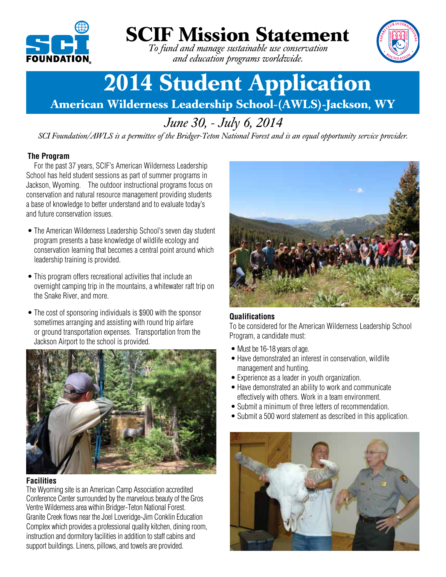

# **SCIF Mission Statement**

*To fund and manage sustainable use conservation and education programs worldwide.*



# **2014 Student Application**

**American Wilderness Leadership School-(AWLS)-Jackson, WY**

# *June 30, - July 6, 2014*

*SCI Foundation/AWLS is a permittee of the Bridger-Teton National Forest and is an equal opportunity service provider.*

# **The Program**

For the past 37 years, SCIF's American Wilderness Leadership School has held student sessions as part of summer programs in Jackson, Wyoming. The outdoor instructional programs focus on conservation and natural resource management providing students a base of knowledge to better understand and to evaluate today's and future conservation issues.

- The American Wilderness Leadership School's seven day student program presents a base knowledge of wildlife ecology and conservation learning that becomes a central point around which leadership training is provided.
- This program offers recreational activities that include an overnight camping trip in the mountains, a whitewater raft trip on the Snake River, and more.
- The cost of sponsoring individuals is \$900 with the sponsor sometimes arranging and assisting with round trip airfare or ground transportation expenses. Transportation from the Jackson Airport to the school is provided.



## **Facilities**

The Wyoming site is an American Camp Association accredited Conference Center surrounded by the marvelous beauty of the Gros Ventre Wildernessarea within Bridger-Teton National Forest. Granite Creek flows near the Joel Loveridge-Jim Conklin Education Complex which provides a professional quality kitchen, dining room, instruction and dormitory facilities in addition to staff cabins and support buildings. Linens, pillows, and towels are provided.



## **Qualifications**

To be considered for the American Wilderness Leadership School Program, a candidate must:

- Must be 16-18 years of age.
- Have demonstrated an interest in conservation, wildlife management and hunting.
- Experience as a leader in youth organization.
- Have demonstrated an ability to work and communicate effectively with others. Work in a team environment.
- Submit a minimum of three letters of recommendation.
- Submit a 500 word statement as described in this application.

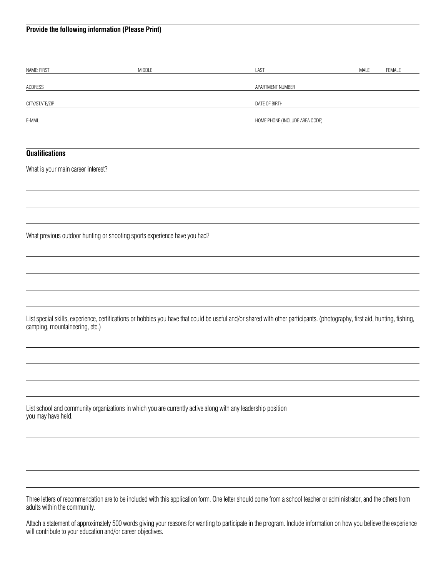### **Provide the following information (Please Print)**

| NAME: FIRST                                                               | MIDDLE                                                                                                                                                                     | LAST                           | MALE | FEMALE |
|---------------------------------------------------------------------------|----------------------------------------------------------------------------------------------------------------------------------------------------------------------------|--------------------------------|------|--------|
| ADDRESS                                                                   |                                                                                                                                                                            | APARTMENT NUMBER               |      |        |
| CITY/STATE/ZIP                                                            |                                                                                                                                                                            | DATE OF BIRTH                  |      |        |
| E-MAIL                                                                    |                                                                                                                                                                            | HOME PHONE (INCLUDE AREA CODE) |      |        |
|                                                                           |                                                                                                                                                                            |                                |      |        |
| <b>Qualifications</b>                                                     |                                                                                                                                                                            |                                |      |        |
| What is your main career interest?                                        |                                                                                                                                                                            |                                |      |        |
|                                                                           |                                                                                                                                                                            |                                |      |        |
|                                                                           |                                                                                                                                                                            |                                |      |        |
| What previous outdoor hunting or shooting sports experience have you had? |                                                                                                                                                                            |                                |      |        |
|                                                                           |                                                                                                                                                                            |                                |      |        |
|                                                                           |                                                                                                                                                                            |                                |      |        |
|                                                                           |                                                                                                                                                                            |                                |      |        |
| camping, mountaineering, etc.)                                            | List special skills, experience, certifications or hobbies you have that could be useful and/or shared with other participants. (photography, first aid, hunting, fishing, |                                |      |        |
|                                                                           |                                                                                                                                                                            |                                |      |        |
|                                                                           |                                                                                                                                                                            |                                |      |        |
|                                                                           |                                                                                                                                                                            |                                |      |        |
| you may have held.                                                        | List school and community organizations in which you are currently active along with any leadership position                                                               |                                |      |        |
|                                                                           |                                                                                                                                                                            |                                |      |        |
|                                                                           |                                                                                                                                                                            |                                |      |        |
|                                                                           |                                                                                                                                                                            |                                |      |        |
| adults within the community.                                              | Three letters of recommendation are to be included with this application form. One letter should come from a school teacher or administrator, and the others from          |                                |      |        |

Attach a statement of approximately 500 words giving your reasons for wanting to participate in the program. Include information on how you believe the experience will contribute to your education and/or career objectives.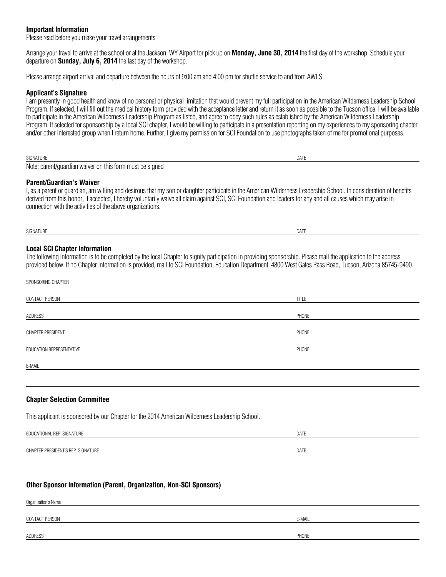#### **Important Information**

Please read before you make your travel arrangements

Arrange your travel to arrive at the school or at the Jackson, WY Airport for pick up on **Monday, June 30, 2014** the first day of the workshop. Schedule your departure on **Sunday, July 6, 2014** thelast day of the workshop.

Please arrange airport arrival and departure between the hours of 9:00 am and 4:00 pm for shuttle service to and from AWLS.

#### **Applicant's Signature**

Iam presentlyin good health and know of no personal or physical limitation that would prevent myfull participation in the American Wilderness Leadership School Program. If selected, I will fill out the medical history form provided with the acceptance letter and return it as soon as possible to the Tucson office. I will be available to participate in the American Wilderness Leadership Program as listed, and agree to obey such rules as established by the American Wilderness Leadership Program. If selected for sponsorship by a local SCI chapter, I would be willing to participate in a presentation reporting on my experiences to my sponsoring chapter and/or other interested group when I return home. Further, I give my permission for SCI Foundation to use photographstaken of mefor promotional purposes.

| SIGNATURE                                                                         | DAIL |
|-----------------------------------------------------------------------------------|------|
| Note:<br>mus<br>ust be sianed<br>. parent/quardian<br>a this form.<br>waiver<br>₩ |      |

#### **Parent/Guardian's Waiver**

I, as a parent or guardian, am willing and desirous that my son or daughter participate in the American Wilderness Leadership School. In consideration of benefits derived from this honor, if accepted, I hereby voluntarily waive all claim against SCI, SCI Foundation and leaders for any and all causes which may arise in connection with the activities of the above organizations.

SIGNATURE DATE

#### **Local SCI Chapter Information**

The following information is to be completed by the local Chapter to signify participation in providing sponsorship. Please mail the application to the address provided below. If no Chapter information is provided, mail to SCI Foundation, Education Department, 4800 West Gates Pass Road, Tucson, Arizona 85745-9490.

| SPONSORING CHAPTER       |              |
|--------------------------|--------------|
| CONTACT PERSON           | <b>TITLE</b> |
| ADDRESS                  | PHONE        |
| CHAPTER PRESIDENT        | PHONE        |
| EDUCATION REPRESENTATIVE | PHONE        |
| E-MAIL                   |              |

#### **Chapter Selection Committee**

This applicant is sponsored by our Chapter for the 2014 American Wilderness Leadership School.

| . REP. SIGNATURE<br>EDUCATIONAL    | DATE |
|------------------------------------|------|
|                                    |      |
| CHAPTER PRESIDENT'S REP. SIGNATURE | DATE |

#### **Other Sponsor Information (Parent, Organization, Non-SCI Sponsors)**

| Organization's Name |        |  |
|---------------------|--------|--|
| CONTACT PERSON      | E-MAIL |  |
| ADDRESS             | PHONE  |  |